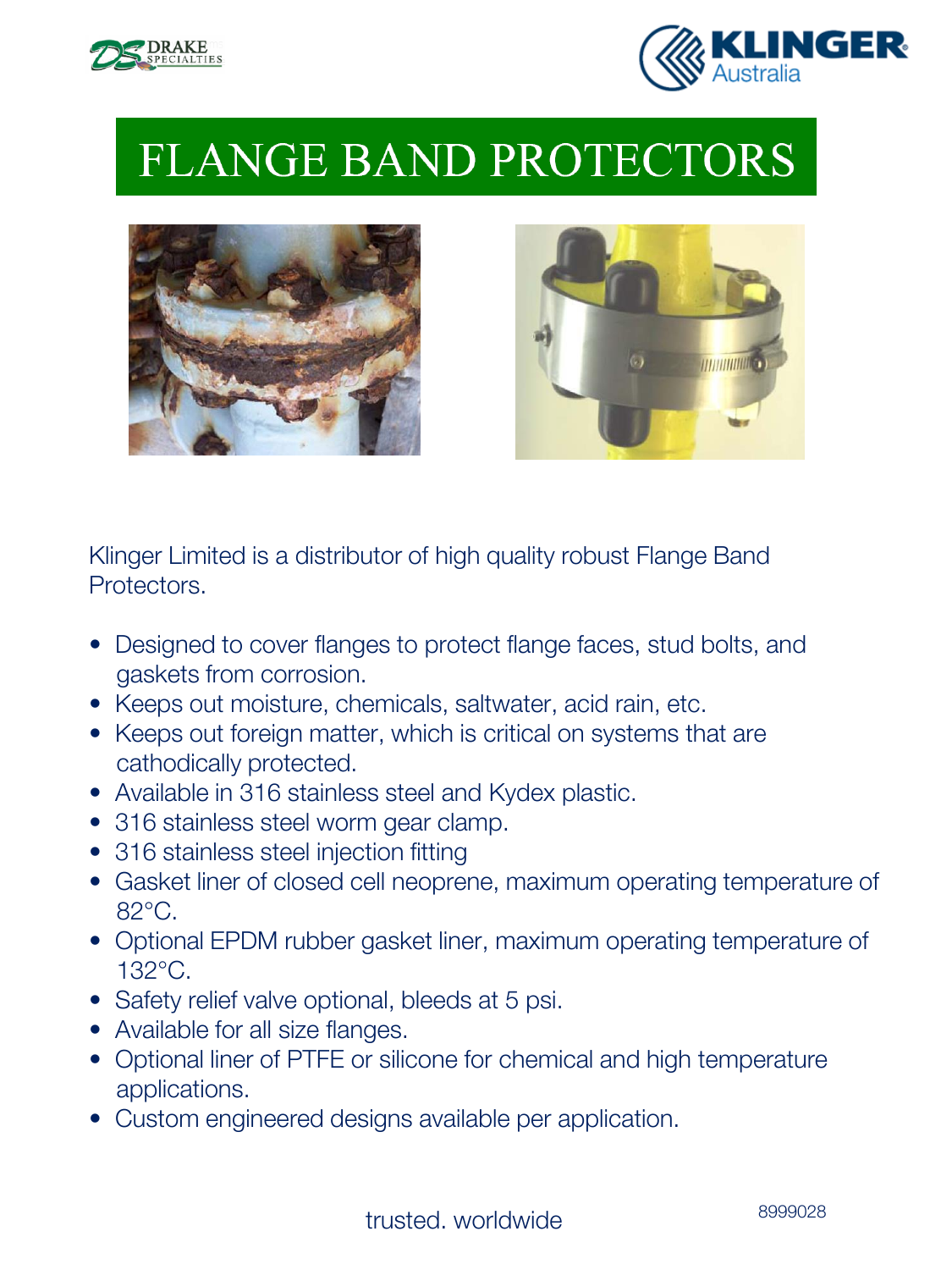



# **FLANGE BAND PROTECTORS**





Klinger Limited is a distributor of high quality robust Flange Band Protectors.

- Designed to cover flanges to protect flange faces, stud bolts, and gaskets from corrosion.
- Keeps out moisture, chemicals, saltwater, acid rain, etc.
- Keeps out foreign matter, which is critical on systems that are cathodically protected.
- Available in 316 stainless steel and Kydex plastic.
- 316 stainless steel worm gear clamp.
- 316 stainless steel injection fitting
- Gasket liner of closed cell neoprene, maximum operating temperature of 82°C.
- Optional EPDM rubber gasket liner, maximum operating temperature of 132°C.
- Safety relief valve optional, bleeds at 5 psi.
- Available for all size flanges.
- Optional liner of PTFE or silicone for chemical and high temperature applications.
- Custom engineered designs available per application.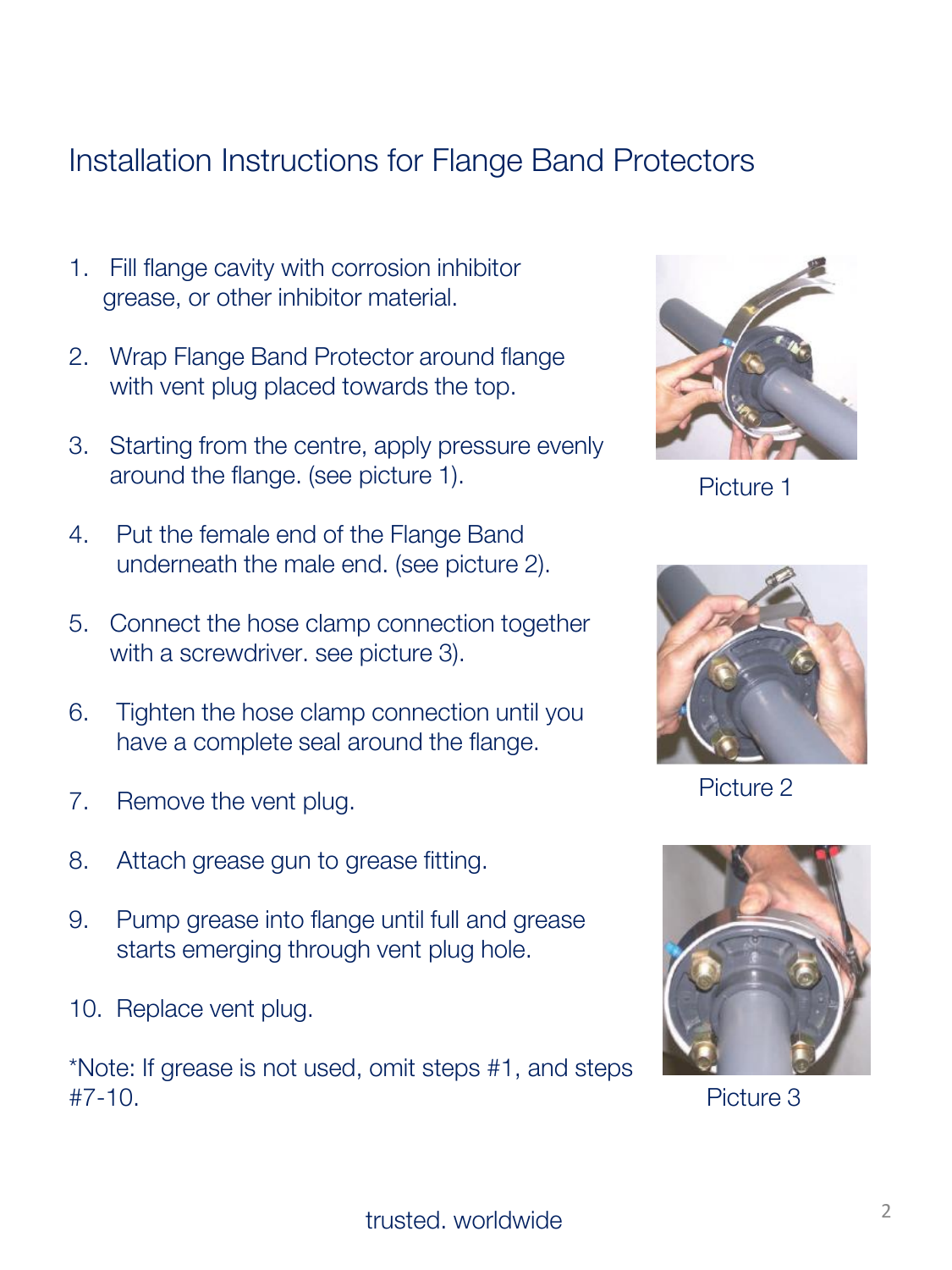## Installation Instructions for Flange Band Protectors

- 1. Fill flange cavity with corrosion inhibitor grease, or other inhibitor material.
- 2. Wrap Flange Band Protector around flange with vent plug placed towards the top.
- 3. Starting from the centre, apply pressure evenly around the flange. (see picture 1).
- 4. Put the female end of the Flange Band underneath the male end. (see picture 2).
- 5. Connect the hose clamp connection together with a screwdriver. see picture 3).
- 6. Tighten the hose clamp connection until you have a complete seal around the flange.
- 7. Remove the vent plug.
- 8. Attach grease gun to grease fitting.
- 9. Pump grease into flange until full and grease starts emerging through vent plug hole.
- 10. Replace vent plug.

\*Note: If grease is not used, omit steps #1, and steps  $#7-10.$ 



Picture 1



Picture 2



Picture 3